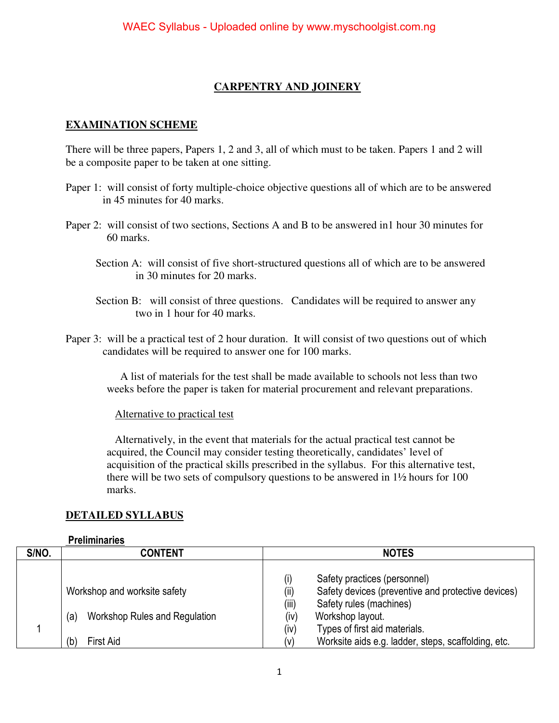## **CARPENTRY AND JOINERY**

### **EXAMINATION SCHEME**

There will be three papers, Papers 1, 2 and 3, all of which must to be taken. Papers 1 and 2 will be a composite paper to be taken at one sitting.

- Paper 1: will consist of forty multiple-choice objective questions all of which are to be answered in 45 minutes for 40 marks.
- Paper 2: will consist of two sections, Sections A and B to be answered in1 hour 30 minutes for 60 marks.
	- Section A: will consist of five short-structured questions all of which are to be answered in 30 minutes for 20 marks.
	- Section B: will consist of three questions. Candidates will be required to answer any two in 1 hour for 40 marks.
- Paper 3: will be a practical test of 2 hour duration. It will consist of two questions out of which candidates will be required to answer one for 100 marks.

 A list of materials for the test shall be made available to schools not less than two weeks before the paper is taken for material procurement and relevant preparations.

#### Alternative to practical test

 Alternatively, in the event that materials for the actual practical test cannot be acquired, the Council may consider testing theoretically, candidates' level of acquisition of the practical skills prescribed in the syllabus. For this alternative test, there will be two sets of compulsory questions to be answered in 1½ hours for 100 marks.

#### **DETAILED SYLLABUS**

#### **Preliminaries**

| S/NO. | <b>CONTENT</b>                                                       | <b>NOTES</b>                                                                                                                                               |  |
|-------|----------------------------------------------------------------------|------------------------------------------------------------------------------------------------------------------------------------------------------------|--|
|       | Workshop and worksite safety<br>Workshop Rules and Regulation<br>(a) | Safety practices (personnel)<br>Safety devices (preventive and protective devices)<br>(ii)<br>(iii)<br>Safety rules (machines)<br>(iv)<br>Workshop layout. |  |
|       |                                                                      | Types of first aid materials.<br>(iv)                                                                                                                      |  |
|       | First Aid<br>(b)                                                     | Worksite aids e.g. ladder, steps, scaffolding, etc.<br>(v)                                                                                                 |  |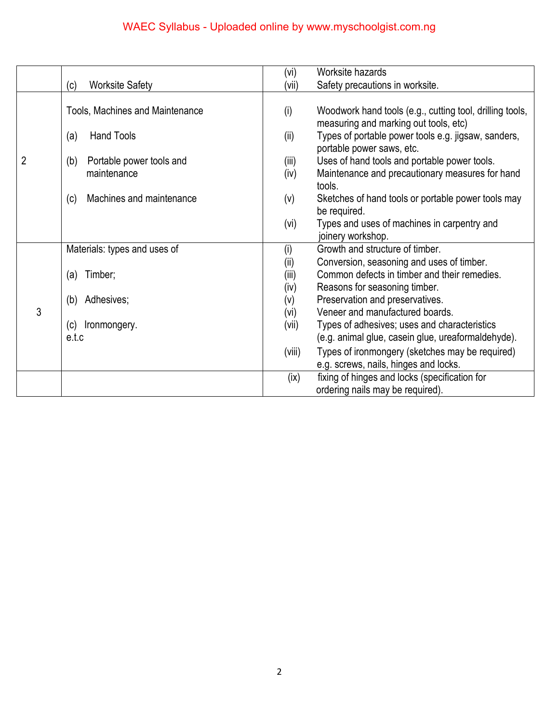|                |                                 | (vi)   | Worksite hazards                                                                                  |
|----------------|---------------------------------|--------|---------------------------------------------------------------------------------------------------|
|                | <b>Worksite Safety</b><br>(c)   | (vii)  | Safety precautions in worksite.                                                                   |
|                |                                 |        |                                                                                                   |
| $\overline{2}$ | Tools, Machines and Maintenance | (i)    | Woodwork hand tools (e.g., cutting tool, drilling tools,<br>measuring and marking out tools, etc) |
|                | <b>Hand Tools</b><br>(a)        | (ii)   | Types of portable power tools e.g. jigsaw, sanders,<br>portable power saws, etc.                  |
|                | Portable power tools and<br>(b) | (iii)  | Uses of hand tools and portable power tools.                                                      |
|                | maintenance                     | (iv)   | Maintenance and precautionary measures for hand<br>tools.                                         |
|                | Machines and maintenance<br>(c) | (v)    | Sketches of hand tools or portable power tools may                                                |
|                |                                 |        | be required.                                                                                      |
|                |                                 | (vi)   | Types and uses of machines in carpentry and<br>joinery workshop.                                  |
|                | Materials: types and uses of    | (i)    | Growth and structure of timber.                                                                   |
|                |                                 | (i)    | Conversion, seasoning and uses of timber.                                                         |
|                | Timber;<br>(a)                  | (iii)  | Common defects in timber and their remedies.                                                      |
|                |                                 | (iv)   | Reasons for seasoning timber.                                                                     |
|                | Adhesives;<br>(b)               | (v)    | Preservation and preservatives.                                                                   |
| 3              |                                 | (vi)   | Veneer and manufactured boards.                                                                   |
|                | (c)<br>Ironmongery.             | (vii)  | Types of adhesives; uses and characteristics                                                      |
|                | e.t.c                           |        | (e.g. animal glue, casein glue, ureaformaldehyde).                                                |
|                |                                 | (viii) | Types of ironmongery (sketches may be required)                                                   |
|                |                                 |        | e.g. screws, nails, hinges and locks.                                                             |
|                |                                 | (ix)   | fixing of hinges and locks (specification for                                                     |
|                |                                 |        | ordering nails may be required).                                                                  |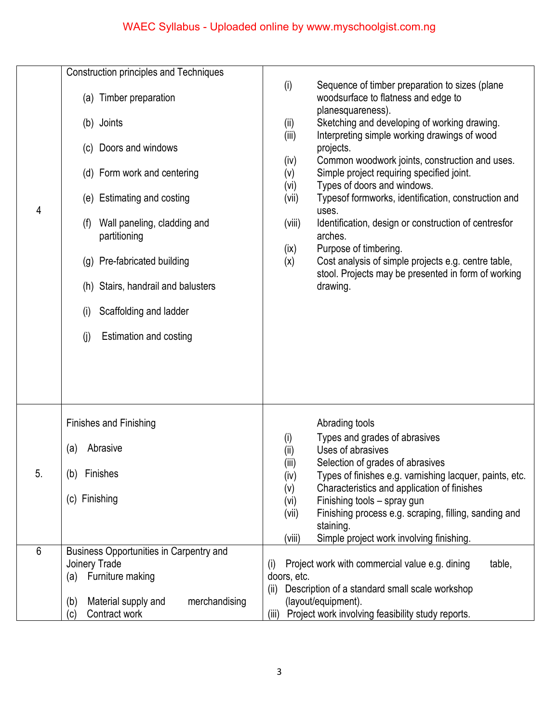| 4       | <b>Construction principles and Techniques</b><br>(a) Timber preparation<br>(b) Joints<br>(c) Doors and windows<br>(d) Form work and centering<br>(e) Estimating and costing<br>Wall paneling, cladding and<br>(f)<br>partitioning<br>(g) Pre-fabricated building<br>(h) Stairs, handrail and balusters<br>Scaffolding and ladder<br>(i)<br><b>Estimation and costing</b><br>(j) | Sequence of timber preparation to sizes (plane<br>(i)<br>woodsurface to flatness and edge to<br>planesquareness).<br>Sketching and developing of working drawing.<br>(i)<br>Interpreting simple working drawings of wood<br>(iii)<br>projects.<br>Common woodwork joints, construction and uses.<br>(iv)<br>Simple project requiring specified joint.<br>(v)<br>Types of doors and windows.<br>(vi)<br>Typesof formworks, identification, construction and<br>(vii)<br>uses.<br>Identification, design or construction of centresfor<br>(viii)<br>arches.<br>Purpose of timbering.<br>(ix)<br>Cost analysis of simple projects e.g. centre table,<br>(x)<br>stool. Projects may be presented in form of working<br>drawing. |
|---------|---------------------------------------------------------------------------------------------------------------------------------------------------------------------------------------------------------------------------------------------------------------------------------------------------------------------------------------------------------------------------------|-----------------------------------------------------------------------------------------------------------------------------------------------------------------------------------------------------------------------------------------------------------------------------------------------------------------------------------------------------------------------------------------------------------------------------------------------------------------------------------------------------------------------------------------------------------------------------------------------------------------------------------------------------------------------------------------------------------------------------|
| 5.<br>6 | <b>Finishes and Finishing</b><br>Abrasive<br>(a)<br>(b) Finishes<br>(c) Finishing<br>Business Opportunities in Carpentry and<br>Joinery Trade<br>Furniture making<br>(a)                                                                                                                                                                                                        | Abrading tools<br>Types and grades of abrasives<br>(i)<br>Uses of abrasives<br>(i)<br>(iii)<br>Selection of grades of abrasives<br>Types of finishes e.g. varnishing lacquer, paints, etc.<br>(iv)<br>Characteristics and application of finishes<br>(v)<br>Finishing tools - spray gun<br>(vi)<br>Finishing process e.g. scraping, filling, sanding and<br>(vii)<br>staining.<br>Simple project work involving finishing.<br>(viii)<br>table,<br>Project work with commercial value e.g. dining<br>(i)<br>doors, etc.<br>Description of a standard small scale workshop<br>(ii)                                                                                                                                            |
|         | Material supply and<br>merchandising<br>(b)<br>Contract work<br>(c)                                                                                                                                                                                                                                                                                                             | (layout/equipment).<br>Project work involving feasibility study reports.<br>(iii)                                                                                                                                                                                                                                                                                                                                                                                                                                                                                                                                                                                                                                           |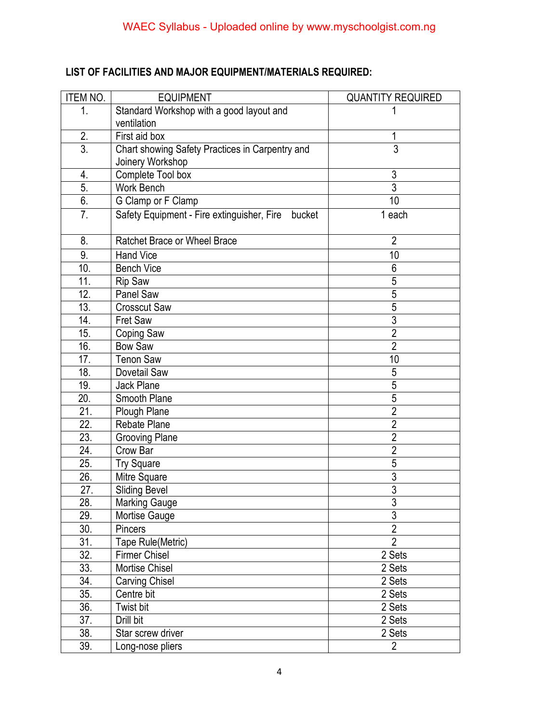# **LIST OF FACILITIES AND MAJOR EQUIPMENT/MATERIALS REQUIRED:**

| ITEM NO.         | <b>EQUIPMENT</b>                                  | <b>QUANTITY REQUIRED</b> |
|------------------|---------------------------------------------------|--------------------------|
| 1.               | Standard Workshop with a good layout and          |                          |
|                  | ventilation                                       |                          |
| 2.               | First aid box                                     | 1                        |
| $\overline{3}$ . | Chart showing Safety Practices in Carpentry and   | 3                        |
|                  | Joinery Workshop                                  |                          |
| 4.               | Complete Tool box                                 | $\mathfrak{Z}$           |
| $\overline{5}$ . | Work Bench                                        | $\overline{3}$           |
| 6.               | G Clamp or F Clamp                                | 10                       |
| 7.               | Safety Equipment - Fire extinguisher, Fire bucket | 1 each                   |
| 8.               | Ratchet Brace or Wheel Brace                      | $\overline{2}$           |
| 9.               | <b>Hand Vice</b>                                  | 10                       |
| 10.              | <b>Bench Vice</b>                                 | 6                        |
| 11.              | <b>Rip Saw</b>                                    | 5                        |
| 12.              | Panel Saw                                         | 5                        |
| 13.              | <b>Crosscut Saw</b>                               | $\overline{5}$           |
| 14.              | <b>Fret Saw</b>                                   | $\overline{3}$           |
| 15.              | Coping Saw                                        | $\overline{2}$           |
| 16.              | <b>Bow Saw</b>                                    | $\overline{2}$           |
| 17.              | <b>Tenon Saw</b>                                  | 10                       |
| 18.              | Dovetail Saw                                      | 5                        |
| 19.              | Jack Plane                                        | $\overline{5}$           |
| 20.              | Smooth Plane                                      | $\overline{5}$           |
| $\overline{21}$  | Plough Plane                                      | $\overline{2}$           |
| 22.              | Rebate Plane                                      | $\overline{2}$           |
| 23.              | <b>Grooving Plane</b>                             | $\overline{2}$           |
| 24.              | Crow Bar                                          | $\overline{2}$           |
| 25.              | <b>Try Square</b>                                 | $\overline{5}$           |
| 26.              | Mitre Square                                      | $\overline{3}$           |
| 27.              | <b>Sliding Bevel</b>                              | $\overline{3}$           |
| 28.              | <b>Marking Gauge</b>                              | 3                        |
| 29.              | Mortise Gauge                                     | $\overline{3}$           |
| 30.              | <b>Pincers</b>                                    | $\overline{2}$           |
| 31.              | Tape Rule(Metric)                                 | $\overline{2}$           |
| 32.              | <b>Firmer Chisel</b>                              | 2 Sets                   |
| 33.              | Mortise Chisel                                    | 2 Sets                   |
| 34.              | Carving Chisel                                    | 2 Sets                   |
| 35.              | Centre bit                                        | 2 Sets                   |
| 36.              | Twist bit                                         | 2 Sets                   |
| 37.              | Drill bit                                         | 2 Sets                   |
| 38.              | Star screw driver                                 | 2 Sets                   |
| 39.              | Long-nose pliers                                  | $\overline{2}$           |